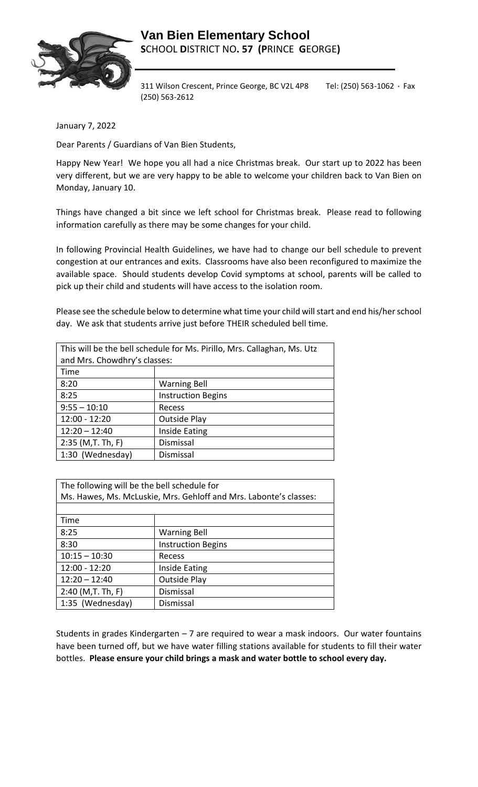

311 Wilson Crescent, Prince George, BC V2L 4P8 Tel: (250) 563-1062 · Fax (250) 563-2612

January 7, 2022

Dear Parents / Guardians of Van Bien Students,

Happy New Year! We hope you all had a nice Christmas break. Our start up to 2022 has been very different, but we are very happy to be able to welcome your children back to Van Bien on Monday, January 10.

Things have changed a bit since we left school for Christmas break. Please read to following information carefully as there may be some changes for your child.

In following Provincial Health Guidelines, we have had to change our bell schedule to prevent congestion at our entrances and exits. Classrooms have also been reconfigured to maximize the available space. Should students develop Covid symptoms at school, parents will be called to pick up their child and students will have access to the isolation room.

Please see the schedule below to determine what time your child will start and end his/her school day. We ask that students arrive just before THEIR scheduled bell time.

| This will be the bell schedule for Ms. Pirillo, Mrs. Callaghan, Ms. Utz |                           |
|-------------------------------------------------------------------------|---------------------------|
| and Mrs. Chowdhry's classes:                                            |                           |
| Time                                                                    |                           |
| 8:20                                                                    | <b>Warning Bell</b>       |
| 8:25                                                                    | <b>Instruction Begins</b> |
| $9:55 - 10:10$                                                          | Recess                    |
| 12:00 - 12:20                                                           | <b>Outside Play</b>       |
| $12:20 - 12:40$                                                         | Inside Eating             |
| $2:35$ (M,T. Th, F)                                                     | Dismissal                 |
| 1:30 (Wednesday)                                                        | Dismissal                 |

| The following will be the bell schedule for                       |                           |  |
|-------------------------------------------------------------------|---------------------------|--|
| Ms. Hawes, Ms. McLuskie, Mrs. Gehloff and Mrs. Labonte's classes: |                           |  |
|                                                                   |                           |  |
| Time                                                              |                           |  |
| 8:25                                                              | <b>Warning Bell</b>       |  |
| 8:30                                                              | <b>Instruction Begins</b> |  |
| $10:15 - 10:30$                                                   | Recess                    |  |
| $12:00 - 12:20$                                                   | Inside Eating             |  |
| $12:20 - 12:40$                                                   | <b>Outside Play</b>       |  |
| $2:40$ (M,T. Th, F)                                               | Dismissal                 |  |
| 1:35 (Wednesday)                                                  | Dismissal                 |  |

Students in grades Kindergarten – 7 are required to wear a mask indoors. Our water fountains have been turned off, but we have water filling stations available for students to fill their water bottles. **Please ensure your child brings a mask and water bottle to school every day.**